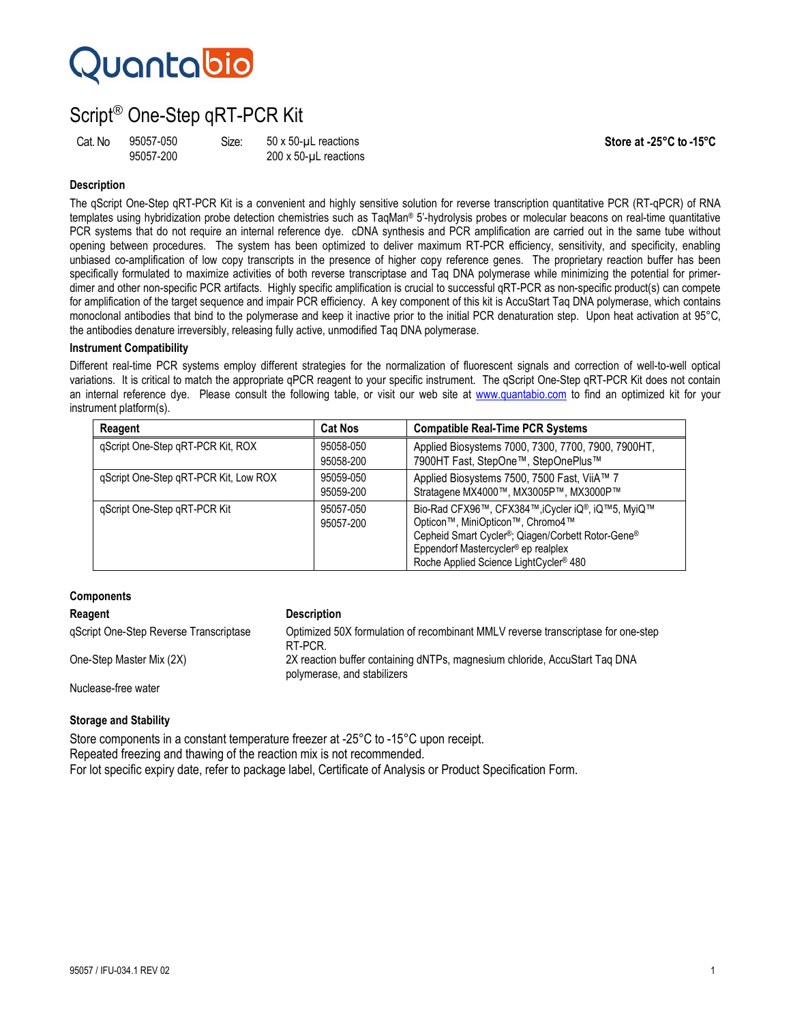# Quantabio

# Script® One-Step qRT-PCR Kit

Cat. No 95057-050 Size: 50 x 50-µL reactions **Store at -25°C to -15°C** 

200 x 50-uL reactions

## **Description**

The qScript One-Step qRT-PCR Kit is a convenient and highly sensitive solution for reverse transcription quantitative PCR (RT-qPCR) of RNA templates using hybridization probe detection chemistries such as TaqMan® 5'-hydrolysis probes or molecular beacons on real-time quantitative PCR systems that do not require an internal reference dye. cDNA synthesis and PCR amplification are carried out in the same tube without opening between procedures. The system has been optimized to deliver maximum RT-PCR efficiency, sensitivity, and specificity, enabling unbiased co-amplification of low copy transcripts in the presence of higher copy reference genes. The proprietary reaction buffer has been specifically formulated to maximize activities of both reverse transcriptase and Taq DNA polymerase while minimizing the potential for primerdimer and other non-specific PCR artifacts. Highly specific amplification is crucial to successful qRT-PCR as non-specific product(s) can compete for amplification of the target sequence and impair PCR efficiency. A key component of this kit is AccuStart Taq DNA polymerase, which contains monoclonal antibodies that bind to the polymerase and keep it inactive prior to the initial PCR denaturation step. Upon heat activation at 95°C, the antibodies denature irreversibly, releasing fully active, unmodified Taq DNA polymerase.

### **Instrument Compatibility**

Different real-time PCR systems employ different strategies for the normalization of fluorescent signals and correction of well-to-well optical variations. It is critical to match the appropriate qPCR reagent to your specific instrument. The qScript One-Step qRT-PCR Kit does not contain an internal reference dye. Please consult the following table, or visit our web site at www.quantabio.com to find an optimized kit for your instrument platform(s).

| Reagent                               | <b>Cat Nos</b>         | <b>Compatible Real-Time PCR Systems</b>                                                                                                                                                                                                                                      |
|---------------------------------------|------------------------|------------------------------------------------------------------------------------------------------------------------------------------------------------------------------------------------------------------------------------------------------------------------------|
| gScript One-Step gRT-PCR Kit, ROX     | 95058-050<br>95058-200 | Applied Biosystems 7000, 7300, 7700, 7900, 7900HT,<br>7900HT Fast, StepOne™, StepOnePlus™                                                                                                                                                                                    |
| qScript One-Step qRT-PCR Kit, Low ROX | 95059-050<br>95059-200 | Applied Biosystems 7500, 7500 Fast, ViiA™ 7<br>Stratagene MX4000™, MX3005P™, MX3000P™                                                                                                                                                                                        |
| gScript One-Step gRT-PCR Kit          | 95057-050<br>95057-200 | Bio-Rad CFX96™, CFX384™, iCycler iQ®, iQ™5, MyiQ™<br>Opticon™, MiniOpticon™, Chromo4™<br>Cepheid Smart Cycler <sup>®</sup> ; Qiagen/Corbett Rotor-Gene <sup>®</sup><br>Eppendorf Mastercycler <sup>®</sup> ep realplex<br>Roche Applied Science LightCycler <sup>®</sup> 480 |

# **Components Reagent Construction Construction Reagent** qScript One-Step Reverse Transcriptase Optimized 50X formulation of recombinant MMLV reverse transcriptase for one-step RT-PCR. One-Step Master Mix (2X) 2X reaction buffer containing dNTPs, magnesium chloride, AccuStart Taq DNA polymerase, and stabilizers Nuclease-free water

### **Storage and Stability**

Store components in a constant temperature freezer at -25°C to -15°C upon receipt. Repeated freezing and thawing of the reaction mix is not recommended. For lot specific expiry date, refer to package label, Certificate of Analysis or Product Specification Form.